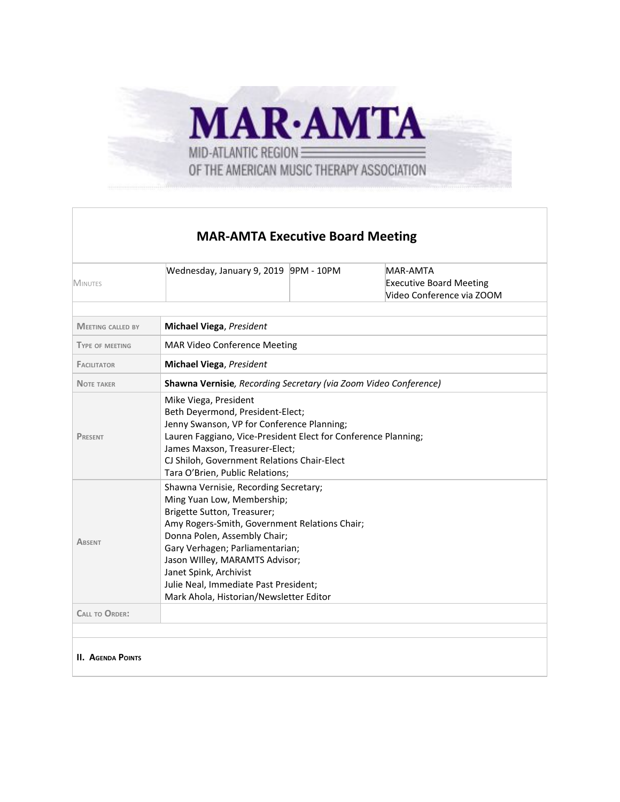

## **MAR-AMTA Executive Board Meeting MINUTES** Wednesday, January 9, 2019 9PM - 10PM MAR-AMTA Executive Board Meeting Video Conference via ZOOM **MEETING CALLED BY Michael Viega**, *President* **TYPE OF MEETING** MAR Video Conference Meeting **FACILITATOR Michael Viega**, *President* **NOTE TAKER Shawna Vernisie***, Recording Secretary (via Zoom Video Conference)* **PRESENT** Mike Viega, President Beth Deyermond, President-Elect; Jenny Swanson, VP for Conference Planning; Lauren Faggiano, Vice-President Elect for Conference Planning; James Maxson, Treasurer-Elect; CJ Shiloh, Government Relations Chair-Elect Tara O'Brien, Public Relations; **ABSENT** Shawna Vernisie, Recording Secretary; Ming Yuan Low, Membership; Brigette Sutton, Treasurer; Amy Rogers-Smith, Government Relations Chair; Donna Polen, Assembly Chair; Gary Verhagen; Parliamentarian; Jason WIlley, MARAMTS Advisor; Janet Spink, Archivist Julie Neal, Immediate Past President; Mark Ahola, Historian/Newsletter Editor **CALL TO ORDER:**

**II. AGENDA POINTS**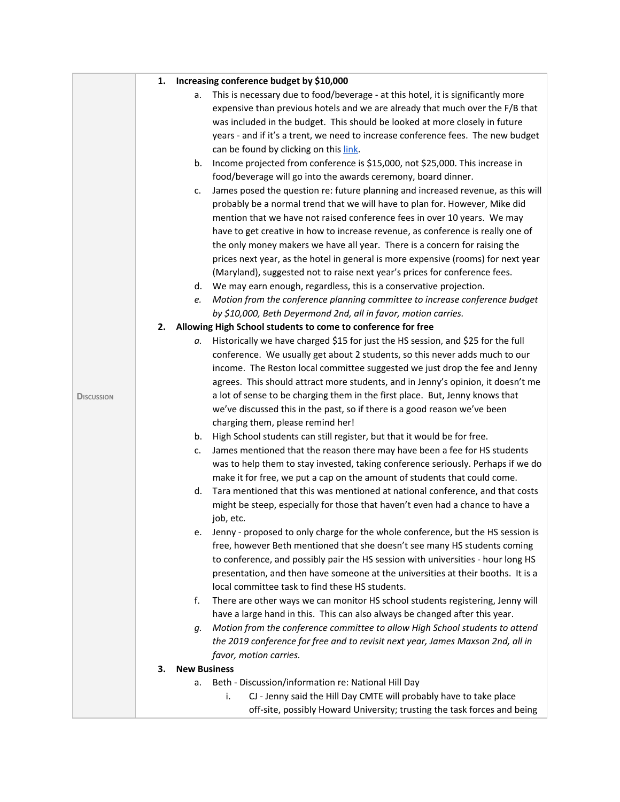|                   | 1.                                                                 | Increasing conference budget by \$10,000                                                                                                                           |  |  |  |
|-------------------|--------------------------------------------------------------------|--------------------------------------------------------------------------------------------------------------------------------------------------------------------|--|--|--|
|                   |                                                                    | This is necessary due to food/beverage - at this hotel, it is significantly more<br>а.                                                                             |  |  |  |
|                   |                                                                    | expensive than previous hotels and we are already that much over the F/B that                                                                                      |  |  |  |
|                   |                                                                    | was included in the budget. This should be looked at more closely in future                                                                                        |  |  |  |
|                   |                                                                    | years - and if it's a trent, we need to increase conference fees. The new budget                                                                                   |  |  |  |
|                   |                                                                    | can be found by clicking on this link.                                                                                                                             |  |  |  |
|                   |                                                                    | Income projected from conference is \$15,000, not \$25,000. This increase in<br>b.                                                                                 |  |  |  |
|                   |                                                                    | food/beverage will go into the awards ceremony, board dinner.                                                                                                      |  |  |  |
|                   |                                                                    | James posed the question re: future planning and increased revenue, as this will<br>c.                                                                             |  |  |  |
|                   |                                                                    | probably be a normal trend that we will have to plan for. However, Mike did                                                                                        |  |  |  |
|                   |                                                                    | mention that we have not raised conference fees in over 10 years. We may                                                                                           |  |  |  |
|                   |                                                                    | have to get creative in how to increase revenue, as conference is really one of                                                                                    |  |  |  |
|                   |                                                                    | the only money makers we have all year. There is a concern for raising the                                                                                         |  |  |  |
|                   |                                                                    | prices next year, as the hotel in general is more expensive (rooms) for next year                                                                                  |  |  |  |
|                   |                                                                    | (Maryland), suggested not to raise next year's prices for conference fees.                                                                                         |  |  |  |
|                   |                                                                    | We may earn enough, regardless, this is a conservative projection.<br>d.                                                                                           |  |  |  |
|                   |                                                                    | Motion from the conference planning committee to increase conference budget<br>e.                                                                                  |  |  |  |
|                   |                                                                    | by \$10,000, Beth Deyermond 2nd, all in favor, motion carries.                                                                                                     |  |  |  |
|                   | Allowing High School students to come to conference for free<br>2. |                                                                                                                                                                    |  |  |  |
|                   |                                                                    | Historically we have charged \$15 for just the HS session, and \$25 for the full<br>а.                                                                             |  |  |  |
|                   |                                                                    | conference. We usually get about 2 students, so this never adds much to our                                                                                        |  |  |  |
|                   |                                                                    | income. The Reston local committee suggested we just drop the fee and Jenny                                                                                        |  |  |  |
|                   |                                                                    | agrees. This should attract more students, and in Jenny's opinion, it doesn't me                                                                                   |  |  |  |
| <b>DISCUSSION</b> |                                                                    | a lot of sense to be charging them in the first place. But, Jenny knows that                                                                                       |  |  |  |
|                   |                                                                    | we've discussed this in the past, so if there is a good reason we've been                                                                                          |  |  |  |
|                   |                                                                    | charging them, please remind her!                                                                                                                                  |  |  |  |
|                   |                                                                    | High School students can still register, but that it would be for free.<br>b.                                                                                      |  |  |  |
|                   |                                                                    | James mentioned that the reason there may have been a fee for HS students<br>c.                                                                                    |  |  |  |
|                   |                                                                    | was to help them to stay invested, taking conference seriously. Perhaps if we do                                                                                   |  |  |  |
|                   |                                                                    | make it for free, we put a cap on the amount of students that could come.                                                                                          |  |  |  |
|                   |                                                                    | Tara mentioned that this was mentioned at national conference, and that costs<br>d.                                                                                |  |  |  |
|                   |                                                                    | might be steep, especially for those that haven't even had a chance to have a                                                                                      |  |  |  |
|                   |                                                                    | job, etc.                                                                                                                                                          |  |  |  |
|                   |                                                                    | Jenny - proposed to only charge for the whole conference, but the HS session is<br>е.<br>free, however Beth mentioned that she doesn't see many HS students coming |  |  |  |
|                   |                                                                    | to conference, and possibly pair the HS session with universities - hour long HS                                                                                   |  |  |  |
|                   |                                                                    | presentation, and then have someone at the universities at their booths. It is a                                                                                   |  |  |  |
|                   |                                                                    | local committee task to find these HS students.                                                                                                                    |  |  |  |
|                   |                                                                    | There are other ways we can monitor HS school students registering, Jenny will<br>f.                                                                               |  |  |  |
|                   |                                                                    | have a large hand in this. This can also always be changed after this year.                                                                                        |  |  |  |
|                   |                                                                    | Motion from the conference committee to allow High School students to attend<br>g.                                                                                 |  |  |  |
|                   |                                                                    | the 2019 conference for free and to revisit next year, James Maxson 2nd, all in                                                                                    |  |  |  |
|                   |                                                                    | favor, motion carries.                                                                                                                                             |  |  |  |
|                   | 3.                                                                 | <b>New Business</b>                                                                                                                                                |  |  |  |
|                   |                                                                    | Beth - Discussion/information re: National Hill Day<br>a.                                                                                                          |  |  |  |
|                   |                                                                    | CJ - Jenny said the Hill Day CMTE will probably have to take place<br>i.                                                                                           |  |  |  |
|                   |                                                                    | off-site, possibly Howard University; trusting the task forces and being                                                                                           |  |  |  |